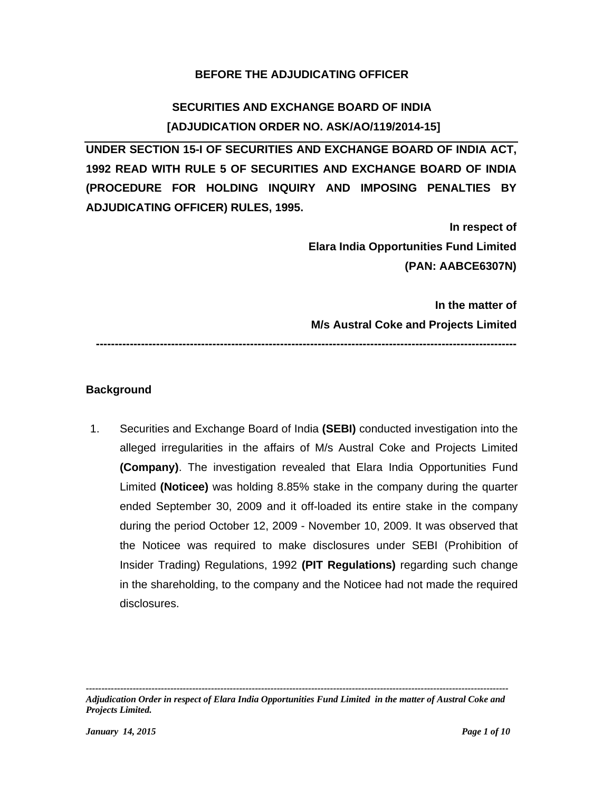# **BEFORE THE ADJUDICATING OFFICER**

# **SECURITIES AND EXCHANGE BOARD OF INDIA [ADJUDICATION ORDER NO. ASK/AO/119/2014-15]**

**UNDER SECTION 15-I OF SECURITIES AND EXCHANGE BOARD OF INDIA ACT, 1992 READ WITH RULE 5 OF SECURITIES AND EXCHANGE BOARD OF INDIA (PROCEDURE FOR HOLDING INQUIRY AND IMPOSING PENALTIES BY ADJUDICATING OFFICER) RULES, 1995.** 

> **In respect of Elara India Opportunities Fund Limited (PAN: AABCE6307N)**

> **In the matter of M/s Austral Coke and Projects Limited**

### **Background**

1. Securities and Exchange Board of India **(SEBI)** conducted investigation into the alleged irregularities in the affairs of M/s Austral Coke and Projects Limited **(Company)**. The investigation revealed that Elara India Opportunities Fund Limited **(Noticee)** was holding 8.85% stake in the company during the quarter ended September 30, 2009 and it off-loaded its entire stake in the company during the period October 12, 2009 - November 10, 2009. It was observed that the Noticee was required to make disclosures under SEBI (Prohibition of Insider Trading) Regulations, 1992 **(PIT Regulations)** regarding such change in the shareholding, to the company and the Noticee had not made the required disclosures.

**----------------------------------------------------------------------------------------------------------------**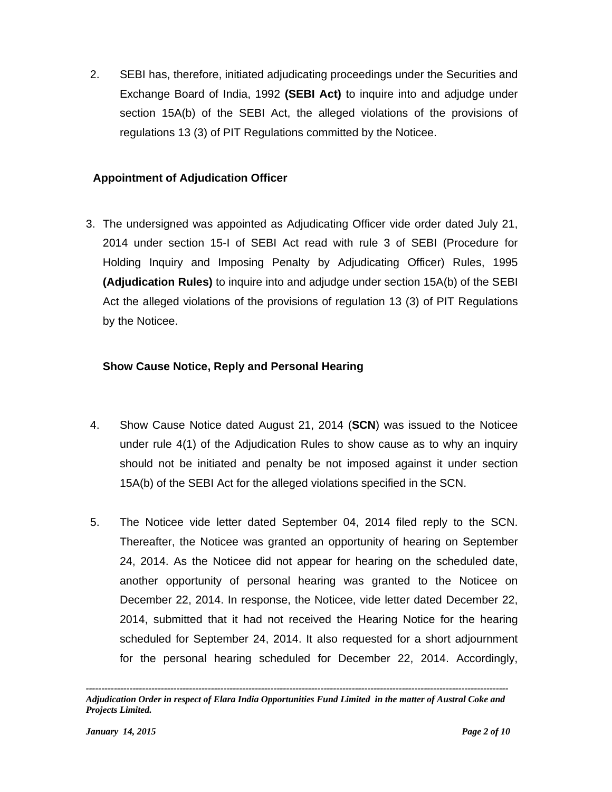2. SEBI has, therefore, initiated adjudicating proceedings under the Securities and Exchange Board of India, 1992 **(SEBI Act)** to inquire into and adjudge under section 15A(b) of the SEBI Act, the alleged violations of the provisions of regulations 13 (3) of PIT Regulations committed by the Noticee.

# **Appointment of Adjudication Officer**

3. The undersigned was appointed as Adjudicating Officer vide order dated July 21, 2014 under section 15-I of SEBI Act read with rule 3 of SEBI (Procedure for Holding Inquiry and Imposing Penalty by Adjudicating Officer) Rules, 1995 **(Adjudication Rules)** to inquire into and adjudge under section 15A(b) of the SEBI Act the alleged violations of the provisions of regulation 13 (3) of PIT Regulations by the Noticee.

# **Show Cause Notice, Reply and Personal Hearing**

- 4. Show Cause Notice dated August 21, 2014 (**SCN**) was issued to the Noticee under rule 4(1) of the Adjudication Rules to show cause as to why an inquiry should not be initiated and penalty be not imposed against it under section 15A(b) of the SEBI Act for the alleged violations specified in the SCN.
- 5. The Noticee vide letter dated September 04, 2014 filed reply to the SCN. Thereafter, the Noticee was granted an opportunity of hearing on September 24, 2014. As the Noticee did not appear for hearing on the scheduled date, another opportunity of personal hearing was granted to the Noticee on December 22, 2014. In response, the Noticee, vide letter dated December 22, 2014, submitted that it had not received the Hearing Notice for the hearing scheduled for September 24, 2014. It also requested for a short adjournment for the personal hearing scheduled for December 22, 2014. Accordingly,

*<sup>---------------------------------------------------------------------------------------------------------------------------------------</sup>  Adjudication Order in respect of Elara India Opportunities Fund Limited in the matter of Austral Coke and Projects Limited.*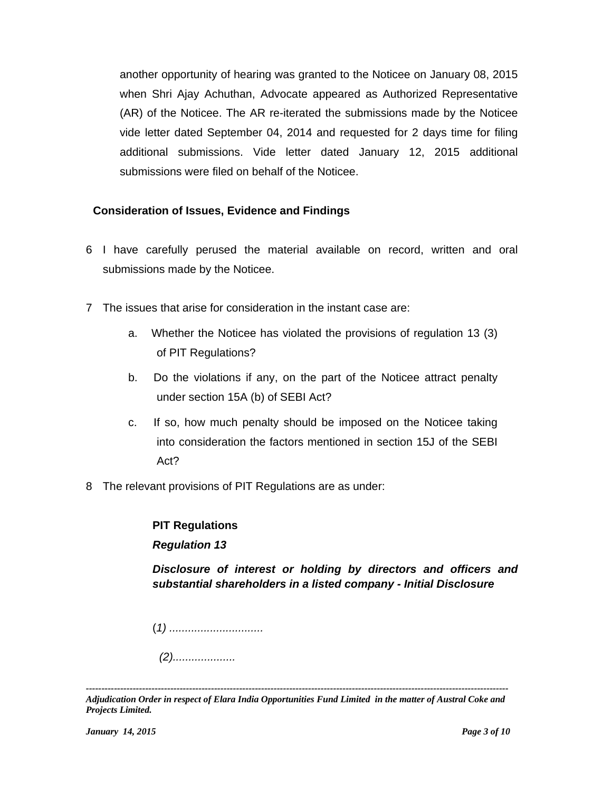another opportunity of hearing was granted to the Noticee on January 08, 2015 when Shri Ajay Achuthan, Advocate appeared as Authorized Representative (AR) of the Noticee. The AR re-iterated the submissions made by the Noticee vide letter dated September 04, 2014 and requested for 2 days time for filing additional submissions. Vide letter dated January 12, 2015 additional submissions were filed on behalf of the Noticee.

# **Consideration of Issues, Evidence and Findings**

- 6 I have carefully perused the material available on record, written and oral submissions made by the Noticee.
- 7 The issues that arise for consideration in the instant case are:
	- a. Whether the Noticee has violated the provisions of regulation 13 (3) of PIT Regulations?
	- b. Do the violations if any, on the part of the Noticee attract penalty under section 15A (b) of SEBI Act?
	- c. If so, how much penalty should be imposed on the Noticee taking into consideration the factors mentioned in section 15J of the SEBI Act?
- 8 The relevant provisions of PIT Regulations are as under:

# **PIT Regulations**

## *Regulation 13*

*Disclosure of interest or holding by directors and officers and substantial shareholders in a listed company - Initial Disclosure* 

(*1) ..............................* 

*(2)....................* 

*<sup>---------------------------------------------------------------------------------------------------------------------------------------</sup>  Adjudication Order in respect of Elara India Opportunities Fund Limited in the matter of Austral Coke and Projects Limited.*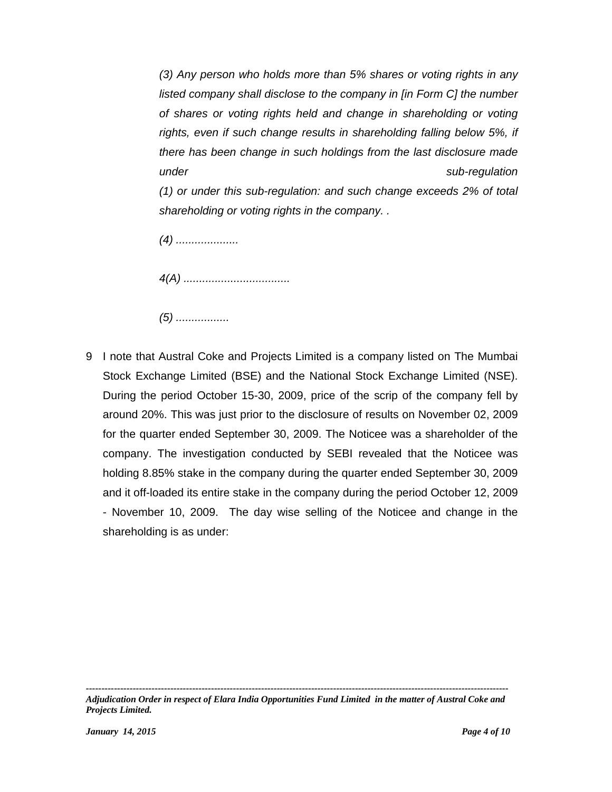*(3) Any person who holds more than 5% shares or voting rights in any listed company shall disclose to the company in [in Form C] the number of shares or voting rights held and change in shareholding or voting rights, even if such change results in shareholding falling below 5%, if there has been change in such holdings from the last disclosure made under sub-regulation (1) or under this sub-regulation: and such change exceeds 2% of total* 

*(4) ....................* 

*4(A) ..................................* 

*shareholding or voting rights in the company. .* 

*(5) .................* 

9 I note that Austral Coke and Projects Limited is a company listed on The Mumbai Stock Exchange Limited (BSE) and the National Stock Exchange Limited (NSE). During the period October 15-30, 2009, price of the scrip of the company fell by around 20%. This was just prior to the disclosure of results on November 02, 2009 for the quarter ended September 30, 2009. The Noticee was a shareholder of the company. The investigation conducted by SEBI revealed that the Noticee was holding 8.85% stake in the company during the quarter ended September 30, 2009 and it off-loaded its entire stake in the company during the period October 12, 2009 - November 10, 2009. The day wise selling of the Noticee and change in the shareholding is as under: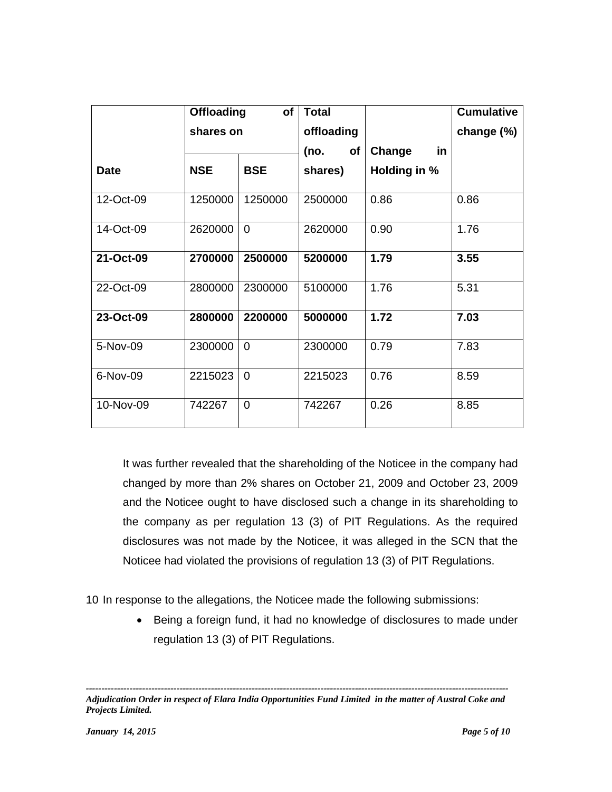|             | <b>Offloading</b><br>of<br>shares on |                | <b>Total</b>      |              | <b>Cumulative</b> |
|-------------|--------------------------------------|----------------|-------------------|--------------|-------------------|
|             |                                      |                | offloading        |              | change (%)        |
|             |                                      |                | (no.<br><b>of</b> | in<br>Change |                   |
| <b>Date</b> | <b>NSE</b>                           | <b>BSE</b>     | shares)           | Holding in % |                   |
| 12-Oct-09   | 1250000                              | 1250000        | 2500000           | 0.86         | 0.86              |
| 14-Oct-09   | 2620000                              | $\Omega$       | 2620000           | 0.90         | 1.76              |
| 21-Oct-09   | 2700000                              | 2500000        | 5200000           | 1.79         | 3.55              |
| 22-Oct-09   | 2800000                              | 2300000        | 5100000           | 1.76         | 5.31              |
| 23-Oct-09   | 2800000                              | 2200000        | 5000000           | 1.72         | 7.03              |
| 5-Nov-09    | 2300000                              | $\Omega$       | 2300000           | 0.79         | 7.83              |
| 6-Nov-09    | 2215023                              | $\Omega$       | 2215023           | 0.76         | 8.59              |
| 10-Nov-09   | 742267                               | $\overline{0}$ | 742267            | 0.26         | 8.85              |

It was further revealed that the shareholding of the Noticee in the company had changed by more than 2% shares on October 21, 2009 and October 23, 2009 and the Noticee ought to have disclosed such a change in its shareholding to the company as per regulation 13 (3) of PIT Regulations. As the required disclosures was not made by the Noticee, it was alleged in the SCN that the Noticee had violated the provisions of regulation 13 (3) of PIT Regulations.

10 In response to the allegations, the Noticee made the following submissions:

• Being a foreign fund, it had no knowledge of disclosures to made under regulation 13 (3) of PIT Regulations.

*<sup>---------------------------------------------------------------------------------------------------------------------------------------</sup>  Adjudication Order in respect of Elara India Opportunities Fund Limited in the matter of Austral Coke and Projects Limited.*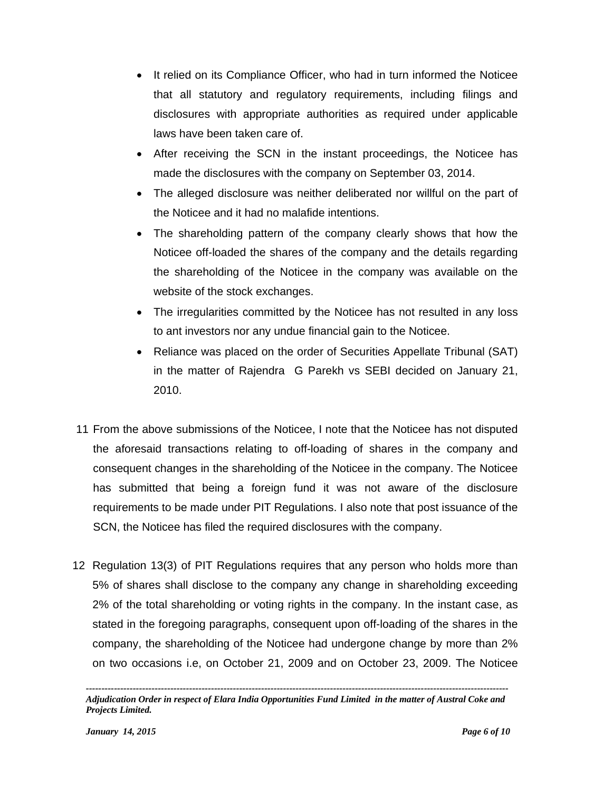- It relied on its Compliance Officer, who had in turn informed the Noticee that all statutory and regulatory requirements, including filings and disclosures with appropriate authorities as required under applicable laws have been taken care of.
- After receiving the SCN in the instant proceedings, the Noticee has made the disclosures with the company on September 03, 2014.
- The alleged disclosure was neither deliberated nor willful on the part of the Noticee and it had no malafide intentions.
- The shareholding pattern of the company clearly shows that how the Noticee off-loaded the shares of the company and the details regarding the shareholding of the Noticee in the company was available on the website of the stock exchanges.
- The irregularities committed by the Noticee has not resulted in any loss to ant investors nor any undue financial gain to the Noticee.
- Reliance was placed on the order of Securities Appellate Tribunal (SAT) in the matter of Rajendra G Parekh vs SEBI decided on January 21, 2010.
- 11 From the above submissions of the Noticee, I note that the Noticee has not disputed the aforesaid transactions relating to off-loading of shares in the company and consequent changes in the shareholding of the Noticee in the company. The Noticee has submitted that being a foreign fund it was not aware of the disclosure requirements to be made under PIT Regulations. I also note that post issuance of the SCN, the Noticee has filed the required disclosures with the company.
- 12 Regulation 13(3) of PIT Regulations requires that any person who holds more than 5% of shares shall disclose to the company any change in shareholding exceeding 2% of the total shareholding or voting rights in the company. In the instant case, as stated in the foregoing paragraphs, consequent upon off-loading of the shares in the company, the shareholding of the Noticee had undergone change by more than 2% on two occasions i.e, on October 21, 2009 and on October 23, 2009. The Noticee

*<sup>---------------------------------------------------------------------------------------------------------------------------------------</sup>  Adjudication Order in respect of Elara India Opportunities Fund Limited in the matter of Austral Coke and Projects Limited.*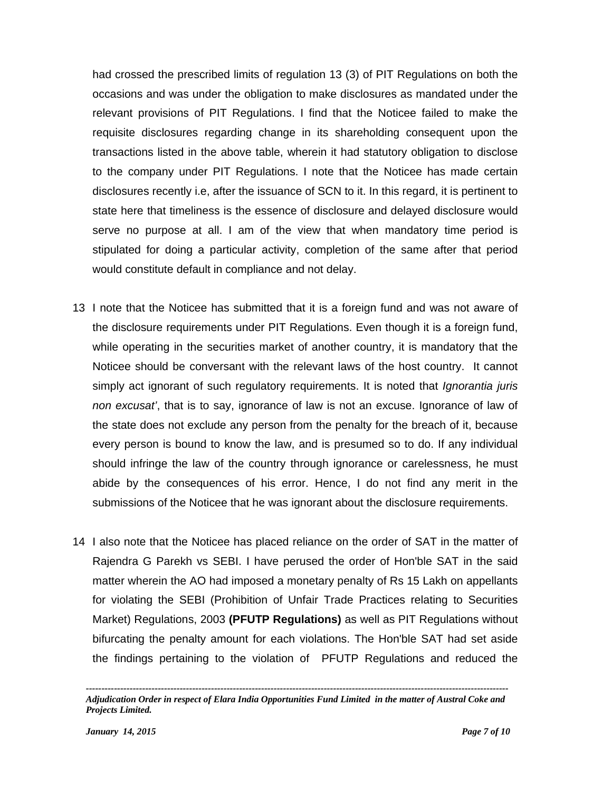had crossed the prescribed limits of regulation 13 (3) of PIT Regulations on both the occasions and was under the obligation to make disclosures as mandated under the relevant provisions of PIT Regulations. I find that the Noticee failed to make the requisite disclosures regarding change in its shareholding consequent upon the transactions listed in the above table, wherein it had statutory obligation to disclose to the company under PIT Regulations. I note that the Noticee has made certain disclosures recently i.e, after the issuance of SCN to it. In this regard, it is pertinent to state here that timeliness is the essence of disclosure and delayed disclosure would serve no purpose at all. I am of the view that when mandatory time period is stipulated for doing a particular activity, completion of the same after that period would constitute default in compliance and not delay.

- 13 I note that the Noticee has submitted that it is a foreign fund and was not aware of the disclosure requirements under PIT Regulations. Even though it is a foreign fund, while operating in the securities market of another country, it is mandatory that the Noticee should be conversant with the relevant laws of the host country. It cannot simply act ignorant of such regulatory requirements. It is noted that *Ignorantia juris non excusat'*, that is to say, ignorance of law is not an excuse. Ignorance of law of the state does not exclude any person from the penalty for the breach of it, because every person is bound to know the law, and is presumed so to do. If any individual should infringe the law of the country through ignorance or carelessness, he must abide by the consequences of his error. Hence, I do not find any merit in the submissions of the Noticee that he was ignorant about the disclosure requirements.
- 14 I also note that the Noticee has placed reliance on the order of SAT in the matter of Rajendra G Parekh vs SEBI. I have perused the order of Hon'ble SAT in the said matter wherein the AO had imposed a monetary penalty of Rs 15 Lakh on appellants for violating the SEBI (Prohibition of Unfair Trade Practices relating to Securities Market) Regulations, 2003 **(PFUTP Regulations)** as well as PIT Regulations without bifurcating the penalty amount for each violations. The Hon'ble SAT had set aside the findings pertaining to the violation of PFUTP Regulations and reduced the

*<sup>---------------------------------------------------------------------------------------------------------------------------------------</sup>  Adjudication Order in respect of Elara India Opportunities Fund Limited in the matter of Austral Coke and Projects Limited.*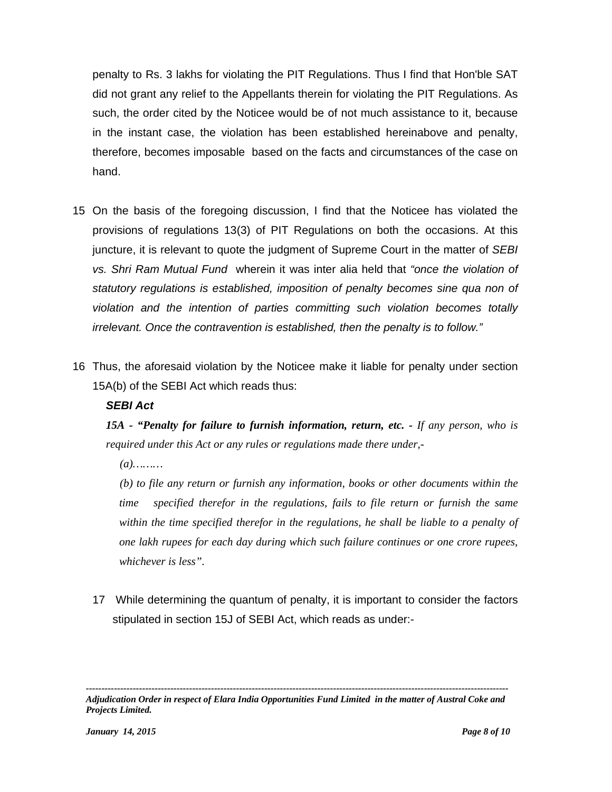penalty to Rs. 3 lakhs for violating the PIT Regulations. Thus I find that Hon'ble SAT did not grant any relief to the Appellants therein for violating the PIT Regulations. As such, the order cited by the Noticee would be of not much assistance to it, because in the instant case, the violation has been established hereinabove and penalty, therefore, becomes imposable based on the facts and circumstances of the case on hand.

- 15 On the basis of the foregoing discussion, I find that the Noticee has violated the provisions of regulations 13(3) of PIT Regulations on both the occasions. At this juncture, it is relevant to quote the judgment of Supreme Court in the matter of *SEBI vs. Shri Ram Mutual Fund* wherein it was inter alia held that *"once the violation of statutory regulations is established, imposition of penalty becomes sine qua non of violation and the intention of parties committing such violation becomes totally irrelevant. Once the contravention is established, then the penalty is to follow."*
- 16 Thus, the aforesaid violation by the Noticee make it liable for penalty under section 15A(b) of the SEBI Act which reads thus:

## *SEBI Act*

*15A - "Penalty for failure to furnish information, return, etc. - If any person, who is required under this Act or any rules or regulations made there under,-*

 *(a)………* 

 *(b) to file any return or furnish any information, books or other documents within the time specified therefor in the regulations, fails to file return or furnish the same within the time specified therefor in the regulations, he shall be liable to a penalty of one lakh rupees for each day during which such failure continues or one crore rupees, whichever is less".* 

17 While determining the quantum of penalty, it is important to consider the factors stipulated in section 15J of SEBI Act, which reads as under:-

*<sup>---------------------------------------------------------------------------------------------------------------------------------------</sup>  Adjudication Order in respect of Elara India Opportunities Fund Limited in the matter of Austral Coke and Projects Limited.*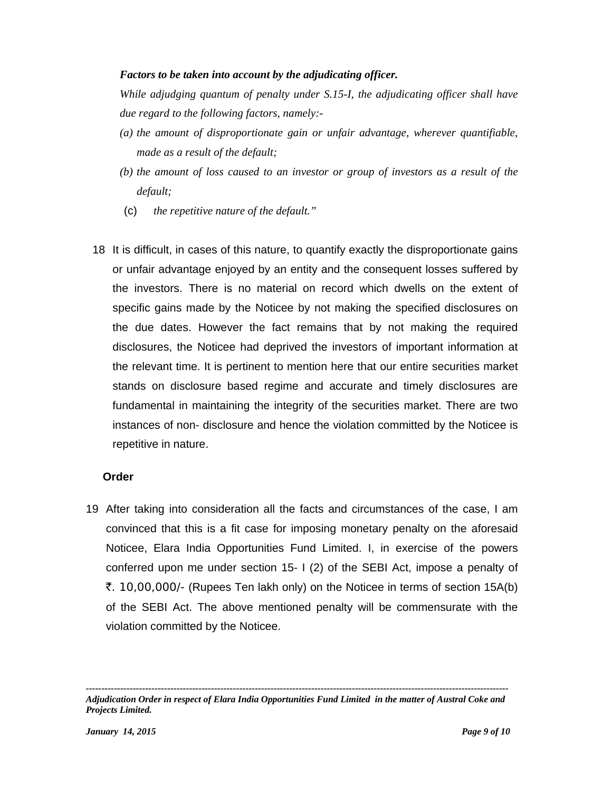#### *Factors to be taken into account by the adjudicating officer.*

*While adjudging quantum of penalty under S.15-I, the adjudicating officer shall have due regard to the following factors, namely:-* 

- *(a) the amount of disproportionate gain or unfair advantage, wherever quantifiable, made as a result of the default;*
- *(b) the amount of loss caused to an investor or group of investors as a result of the default;*
- (c) *the repetitive nature of the default."*
- 18 It is difficult, in cases of this nature, to quantify exactly the disproportionate gains or unfair advantage enjoyed by an entity and the consequent losses suffered by the investors. There is no material on record which dwells on the extent of specific gains made by the Noticee by not making the specified disclosures on the due dates. However the fact remains that by not making the required disclosures, the Noticee had deprived the investors of important information at the relevant time. It is pertinent to mention here that our entire securities market stands on disclosure based regime and accurate and timely disclosures are fundamental in maintaining the integrity of the securities market. There are two instances of non- disclosure and hence the violation committed by the Noticee is repetitive in nature.

#### **Order**

19 After taking into consideration all the facts and circumstances of the case, I am convinced that this is a fit case for imposing monetary penalty on the aforesaid Noticee, Elara India Opportunities Fund Limited. I, in exercise of the powers conferred upon me under section 15- I (2) of the SEBI Act, impose a penalty of `. 10,00,000/- (Rupees Ten lakh only) on the Noticee in terms of section 15A(b) of the SEBI Act. The above mentioned penalty will be commensurate with the violation committed by the Noticee.